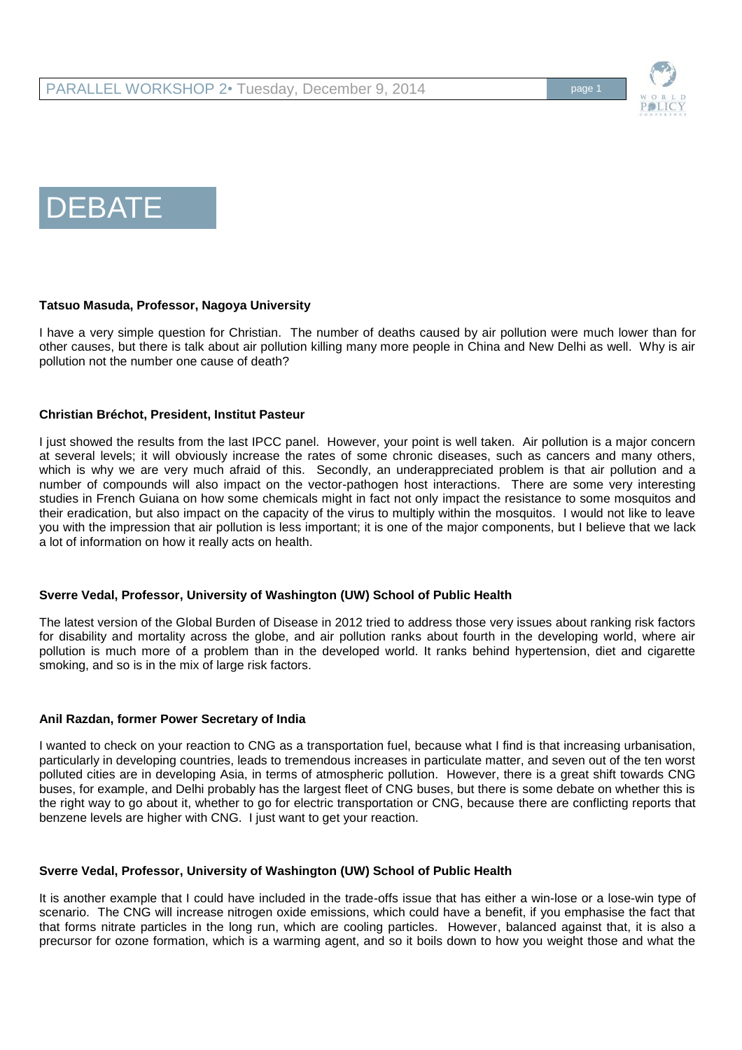



# **Tatsuo Masuda, Professor, Nagoya University**

I have a very simple question for Christian. The number of deaths caused by air pollution were much lower than for other causes, but there is talk about air pollution killing many more people in China and New Delhi as well. Why is air pollution not the number one cause of death?

## **Christian Bréchot, President, Institut Pasteur**

I just showed the results from the last IPCC panel. However, your point is well taken. Air pollution is a major concern at several levels; it will obviously increase the rates of some chronic diseases, such as cancers and many others, which is why we are very much afraid of this. Secondly, an underappreciated problem is that air pollution and a number of compounds will also impact on the vector-pathogen host interactions. There are some very interesting studies in French Guiana on how some chemicals might in fact not only impact the resistance to some mosquitos and their eradication, but also impact on the capacity of the virus to multiply within the mosquitos. I would not like to leave you with the impression that air pollution is less important; it is one of the major components, but I believe that we lack a lot of information on how it really acts on health.

# **Sverre Vedal, Professor, University of Washington (UW) School of Public Health**

The latest version of the Global Burden of Disease in 2012 tried to address those very issues about ranking risk factors for disability and mortality across the globe, and air pollution ranks about fourth in the developing world, where air pollution is much more of a problem than in the developed world. It ranks behind hypertension, diet and cigarette smoking, and so is in the mix of large risk factors.

### **Anil Razdan, former Power Secretary of India**

I wanted to check on your reaction to CNG as a transportation fuel, because what I find is that increasing urbanisation, particularly in developing countries, leads to tremendous increases in particulate matter, and seven out of the ten worst polluted cities are in developing Asia, in terms of atmospheric pollution. However, there is a great shift towards CNG buses, for example, and Delhi probably has the largest fleet of CNG buses, but there is some debate on whether this is the right way to go about it, whether to go for electric transportation or CNG, because there are conflicting reports that benzene levels are higher with CNG. I just want to get your reaction.

### **Sverre Vedal, Professor, University of Washington (UW) School of Public Health**

It is another example that I could have included in the trade-offs issue that has either a win-lose or a lose-win type of scenario. The CNG will increase nitrogen oxide emissions, which could have a benefit, if you emphasise the fact that that forms nitrate particles in the long run, which are cooling particles. However, balanced against that, it is also a precursor for ozone formation, which is a warming agent, and so it boils down to how you weight those and what the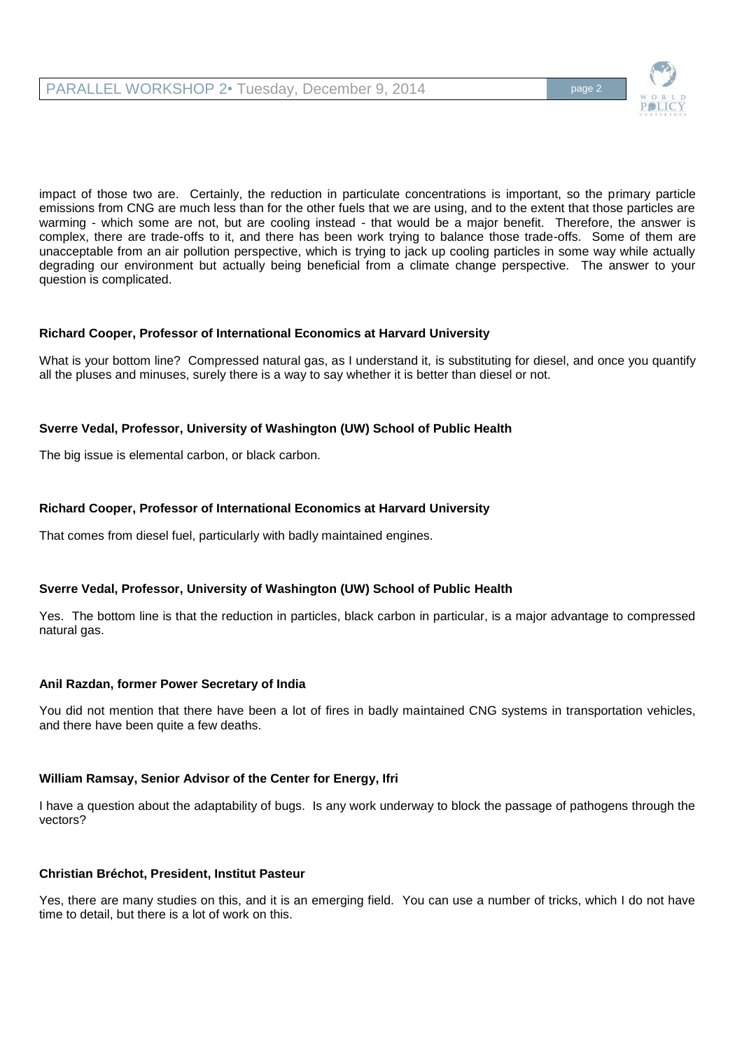PARALLEL WORKSHOP 2• Tuesday, December 9, 2014



impact of those two are. Certainly, the reduction in particulate concentrations is important, so the primary particle emissions from CNG are much less than for the other fuels that we are using, and to the extent that those particles are warming - which some are not, but are cooling instead - that would be a major benefit. Therefore, the answer is complex, there are trade-offs to it, and there has been work trying to balance those trade-offs. Some of them are unacceptable from an air pollution perspective, which is trying to jack up cooling particles in some way while actually degrading our environment but actually being beneficial from a climate change perspective. The answer to your question is complicated.

# **Richard Cooper, Professor of International Economics at Harvard University**

What is your bottom line? Compressed natural gas, as I understand it, is substituting for diesel, and once you quantify all the pluses and minuses, surely there is a way to say whether it is better than diesel or not.

# **Sverre Vedal, Professor, University of Washington (UW) School of Public Health**

The big issue is elemental carbon, or black carbon.

# **Richard Cooper, Professor of International Economics at Harvard University**

That comes from diesel fuel, particularly with badly maintained engines.

# **Sverre Vedal, Professor, University of Washington (UW) School of Public Health**

Yes. The bottom line is that the reduction in particles, black carbon in particular, is a major advantage to compressed natural gas.

# **Anil Razdan, former Power Secretary of India**

You did not mention that there have been a lot of fires in badly maintained CNG systems in transportation vehicles, and there have been quite a few deaths.

# **William Ramsay, Senior Advisor of the Center for Energy, Ifri**

I have a question about the adaptability of bugs. Is any work underway to block the passage of pathogens through the vectors?

# **Christian Bréchot, President, Institut Pasteur**

Yes, there are many studies on this, and it is an emerging field. You can use a number of tricks, which I do not have time to detail, but there is a lot of work on this.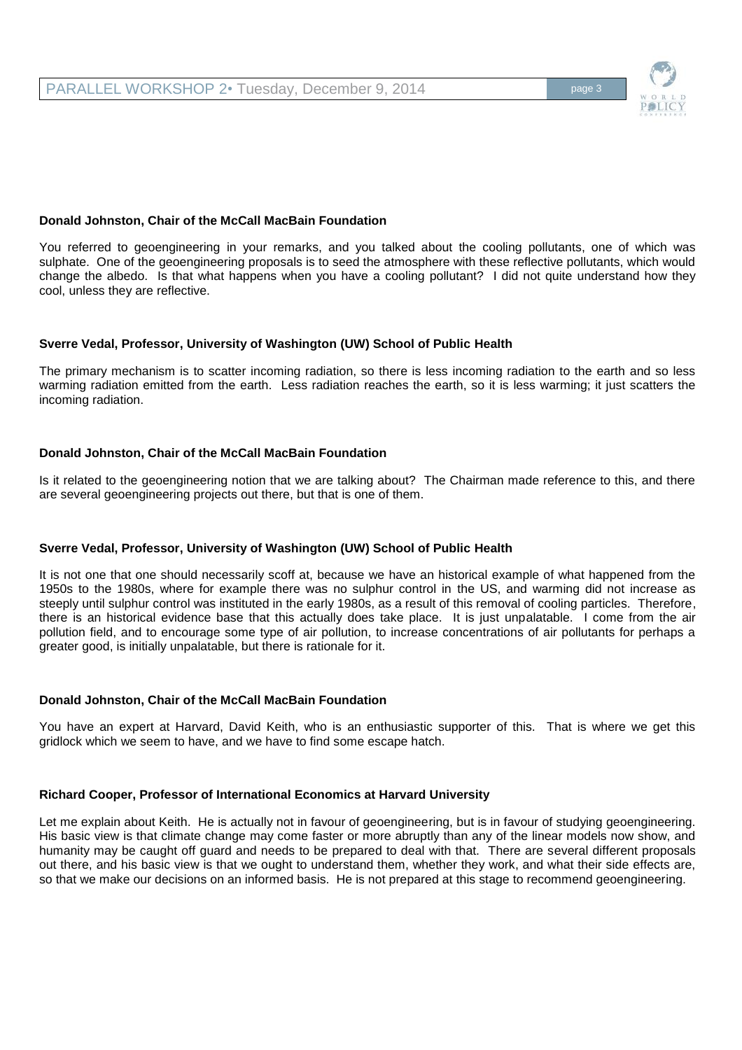## **Donald Johnston, Chair of the McCall MacBain Foundation**

You referred to geoengineering in your remarks, and you talked about the cooling pollutants, one of which was sulphate. One of the geoengineering proposals is to seed the atmosphere with these reflective pollutants, which would change the albedo. Is that what happens when you have a cooling pollutant? I did not quite understand how they cool, unless they are reflective.

## **Sverre Vedal, Professor, University of Washington (UW) School of Public Health**

The primary mechanism is to scatter incoming radiation, so there is less incoming radiation to the earth and so less warming radiation emitted from the earth. Less radiation reaches the earth, so it is less warming; it just scatters the incoming radiation.

## **Donald Johnston, Chair of the McCall MacBain Foundation**

Is it related to the geoengineering notion that we are talking about? The Chairman made reference to this, and there are several geoengineering projects out there, but that is one of them.

### **Sverre Vedal, Professor, University of Washington (UW) School of Public Health**

It is not one that one should necessarily scoff at, because we have an historical example of what happened from the 1950s to the 1980s, where for example there was no sulphur control in the US, and warming did not increase as steeply until sulphur control was instituted in the early 1980s, as a result of this removal of cooling particles. Therefore, there is an historical evidence base that this actually does take place. It is just unpalatable. I come from the air pollution field, and to encourage some type of air pollution, to increase concentrations of air pollutants for perhaps a greater good, is initially unpalatable, but there is rationale for it.

### **Donald Johnston, Chair of the McCall MacBain Foundation**

You have an expert at Harvard, David Keith, who is an enthusiastic supporter of this. That is where we get this gridlock which we seem to have, and we have to find some escape hatch.

### **Richard Cooper, Professor of International Economics at Harvard University**

Let me explain about Keith. He is actually not in favour of geoengineering, but is in favour of studying geoengineering. His basic view is that climate change may come faster or more abruptly than any of the linear models now show, and humanity may be caught off guard and needs to be prepared to deal with that. There are several different proposals out there, and his basic view is that we ought to understand them, whether they work, and what their side effects are, so that we make our decisions on an informed basis. He is not prepared at this stage to recommend geoengineering.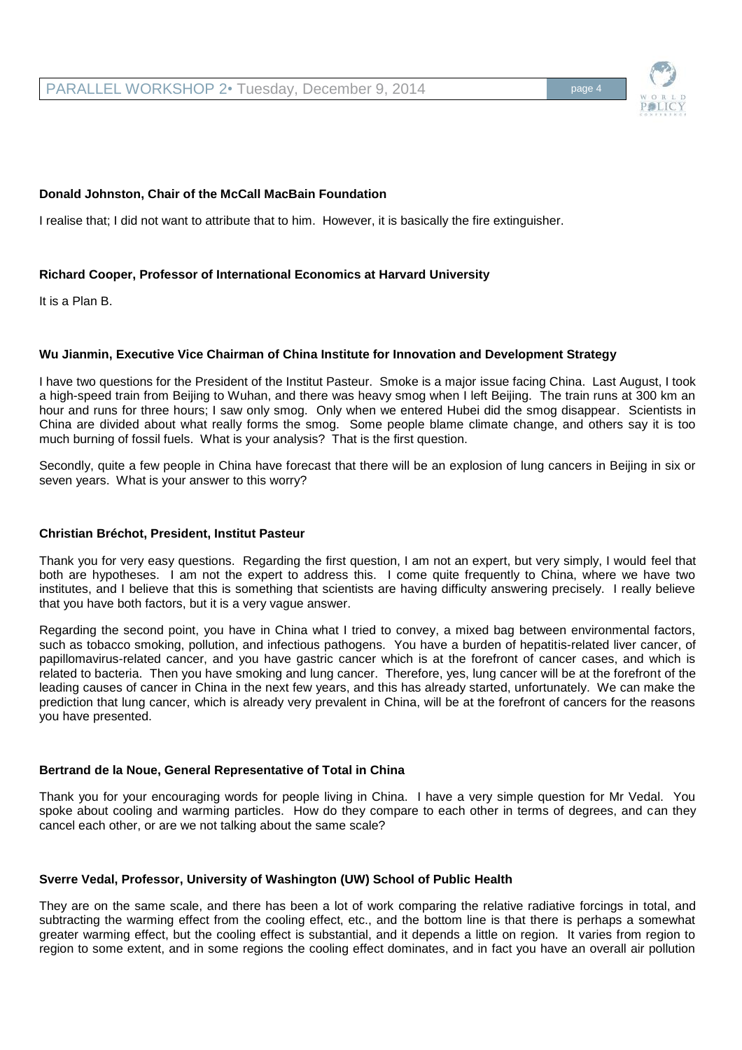PARALLEL WORKSHOP 2• Tuesday, December 9, 2014

# **Donald Johnston, Chair of the McCall MacBain Foundation**

I realise that; I did not want to attribute that to him. However, it is basically the fire extinguisher.

# **Richard Cooper, Professor of International Economics at Harvard University**

It is a Plan B.

## **Wu Jianmin, Executive Vice Chairman of China Institute for Innovation and Development Strategy**

I have two questions for the President of the Institut Pasteur. Smoke is a major issue facing China. Last August, I took a high-speed train from Beijing to Wuhan, and there was heavy smog when I left Beijing. The train runs at 300 km an hour and runs for three hours; I saw only smog. Only when we entered Hubei did the smog disappear. Scientists in China are divided about what really forms the smog. Some people blame climate change, and others say it is too much burning of fossil fuels. What is your analysis? That is the first question.

Secondly, quite a few people in China have forecast that there will be an explosion of lung cancers in Beijing in six or seven years. What is your answer to this worry?

### **Christian Bréchot, President, Institut Pasteur**

Thank you for very easy questions. Regarding the first question, I am not an expert, but very simply, I would feel that both are hypotheses. I am not the expert to address this. I come quite frequently to China, where we have two institutes, and I believe that this is something that scientists are having difficulty answering precisely. I really believe that you have both factors, but it is a very vague answer.

Regarding the second point, you have in China what I tried to convey, a mixed bag between environmental factors, such as tobacco smoking, pollution, and infectious pathogens. You have a burden of hepatitis-related liver cancer, of papillomavirus-related cancer, and you have gastric cancer which is at the forefront of cancer cases, and which is related to bacteria. Then you have smoking and lung cancer. Therefore, yes, lung cancer will be at the forefront of the leading causes of cancer in China in the next few years, and this has already started, unfortunately. We can make the prediction that lung cancer, which is already very prevalent in China, will be at the forefront of cancers for the reasons you have presented.

# **Bertrand de la Noue, General Representative of Total in China**

Thank you for your encouraging words for people living in China. I have a very simple question for Mr Vedal. You spoke about cooling and warming particles. How do they compare to each other in terms of degrees, and can they cancel each other, or are we not talking about the same scale?

# **Sverre Vedal, Professor, University of Washington (UW) School of Public Health**

They are on the same scale, and there has been a lot of work comparing the relative radiative forcings in total, and subtracting the warming effect from the cooling effect, etc., and the bottom line is that there is perhaps a somewhat greater warming effect, but the cooling effect is substantial, and it depends a little on region. It varies from region to region to some extent, and in some regions the cooling effect dominates, and in fact you have an overall air pollution